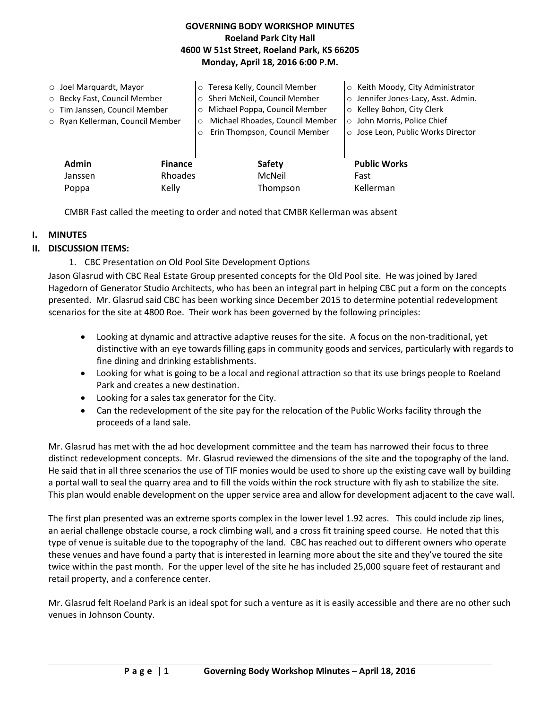# **GOVERNING BODY WORKSHOP MINUTES Roeland Park City Hall 4600 W 51st Street, Roeland Park, KS 66205 Monday, April 18, 2016 6:00 P.M.**

| $\circ$ Joel Marquardt, Mayor<br>O Becky Fast, Council Member<br>o Tim Janssen, Council Member<br>o Ryan Kellerman, Council Member |                           | o Teresa Kelly, Council Member<br>Sheri McNeil, Council Member<br>$\circ$<br>Michael Poppa, Council Member<br>$\circ$<br>Michael Rhoades, Council Member<br>$\circ$<br>Erin Thompson, Council Member | ○ Keith Moody, City Administrator<br>o Jennifer Jones-Lacy, Asst. Admin.<br>o Kelley Bohon, City Clerk<br>o John Morris, Police Chief<br>o Jose Leon, Public Works Director |
|------------------------------------------------------------------------------------------------------------------------------------|---------------------------|------------------------------------------------------------------------------------------------------------------------------------------------------------------------------------------------------|-----------------------------------------------------------------------------------------------------------------------------------------------------------------------------|
| <b>Admin</b><br>Janssen                                                                                                            | <b>Finance</b><br>Rhoades | Safety<br>McNeil                                                                                                                                                                                     | <b>Public Works</b><br>Fast                                                                                                                                                 |
| Poppa                                                                                                                              | Kelly                     | Thompson                                                                                                                                                                                             | Kellerman                                                                                                                                                                   |

CMBR Fast called the meeting to order and noted that CMBR Kellerman was absent

### **I. MINUTES**

### **II. DISCUSSION ITEMS:**

### 1. CBC Presentation on Old Pool Site Development Options

Jason Glasrud with CBC Real Estate Group presented concepts for the Old Pool site. He was joined by Jared Hagedorn of Generator Studio Architects, who has been an integral part in helping CBC put a form on the concepts presented. Mr. Glasrud said CBC has been working since December 2015 to determine potential redevelopment scenarios for the site at 4800 Roe. Their work has been governed by the following principles:

- Looking at dynamic and attractive adaptive reuses for the site. A focus on the non-traditional, yet distinctive with an eye towards filling gaps in community goods and services, particularly with regards to fine dining and drinking establishments.
- Looking for what is going to be a local and regional attraction so that its use brings people to Roeland Park and creates a new destination.
- Looking for a sales tax generator for the City.
- Can the redevelopment of the site pay for the relocation of the Public Works facility through the proceeds of a land sale.

Mr. Glasrud has met with the ad hoc development committee and the team has narrowed their focus to three distinct redevelopment concepts. Mr. Glasrud reviewed the dimensions of the site and the topography of the land. He said that in all three scenarios the use of TIF monies would be used to shore up the existing cave wall by building a portal wall to seal the quarry area and to fill the voids within the rock structure with fly ash to stabilize the site. This plan would enable development on the upper service area and allow for development adjacent to the cave wall.

The first plan presented was an extreme sports complex in the lower level 1.92 acres. This could include zip lines, an aerial challenge obstacle course, a rock climbing wall, and a cross fit training speed course. He noted that this type of venue is suitable due to the topography of the land. CBC has reached out to different owners who operate these venues and have found a party that is interested in learning more about the site and they've toured the site twice within the past month. For the upper level of the site he has included 25,000 square feet of restaurant and retail property, and a conference center.

Mr. Glasrud felt Roeland Park is an ideal spot for such a venture as it is easily accessible and there are no other such venues in Johnson County.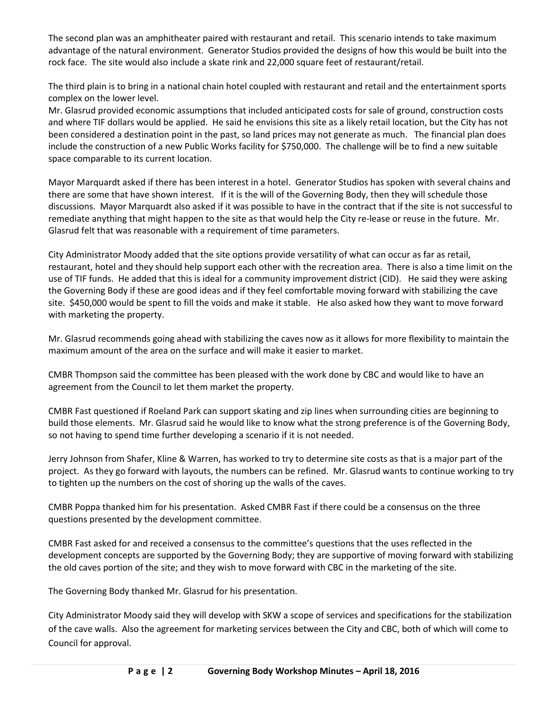The second plan was an amphitheater paired with restaurant and retail. This scenario intends to take maximum advantage of the natural environment. Generator Studios provided the designs of how this would be built into the rock face. The site would also include a skate rink and 22,000 square feet of restaurant/retail.

The third plain is to bring in a national chain hotel coupled with restaurant and retail and the entertainment sports complex on the lower level.

Mr. Glasrud provided economic assumptions that included anticipated costs for sale of ground, construction costs and where TIF dollars would be applied. He said he envisions this site as a likely retail location, but the City has not been considered a destination point in the past, so land prices may not generate as much. The financial plan does include the construction of a new Public Works facility for \$750,000. The challenge will be to find a new suitable space comparable to its current location.

Mayor Marquardt asked if there has been interest in a hotel. Generator Studios has spoken with several chains and there are some that have shown interest. If it is the will of the Governing Body, then they will schedule those discussions. Mayor Marquardt also asked if it was possible to have in the contract that if the site is not successful to remediate anything that might happen to the site as that would help the City re-lease or reuse in the future. Mr. Glasrud felt that was reasonable with a requirement of time parameters.

City Administrator Moody added that the site options provide versatility of what can occur as far as retail, restaurant, hotel and they should help support each other with the recreation area. There is also a time limit on the use of TIF funds. He added that this is ideal for a community improvement district (CID). He said they were asking the Governing Body if these are good ideas and if they feel comfortable moving forward with stabilizing the cave site. \$450,000 would be spent to fill the voids and make it stable. He also asked how they want to move forward with marketing the property.

Mr. Glasrud recommends going ahead with stabilizing the caves now as it allows for more flexibility to maintain the maximum amount of the area on the surface and will make it easier to market.

CMBR Thompson said the committee has been pleased with the work done by CBC and would like to have an agreement from the Council to let them market the property.

CMBR Fast questioned if Roeland Park can support skating and zip lines when surrounding cities are beginning to build those elements. Mr. Glasrud said he would like to know what the strong preference is of the Governing Body, so not having to spend time further developing a scenario if it is not needed.

Jerry Johnson from Shafer, Kline & Warren, has worked to try to determine site costs as that is a major part of the project. As they go forward with layouts, the numbers can be refined. Mr. Glasrud wants to continue working to try to tighten up the numbers on the cost of shoring up the walls of the caves.

CMBR Poppa thanked him for his presentation. Asked CMBR Fast if there could be a consensus on the three questions presented by the development committee.

CMBR Fast asked for and received a consensus to the committee's questions that the uses reflected in the development concepts are supported by the Governing Body; they are supportive of moving forward with stabilizing the old caves portion of the site; and they wish to move forward with CBC in the marketing of the site.

The Governing Body thanked Mr. Glasrud for his presentation.

City Administrator Moody said they will develop with SKW a scope of services and specifications for the stabilization of the cave walls. Also the agreement for marketing services between the City and CBC, both of which will come to Council for approval.